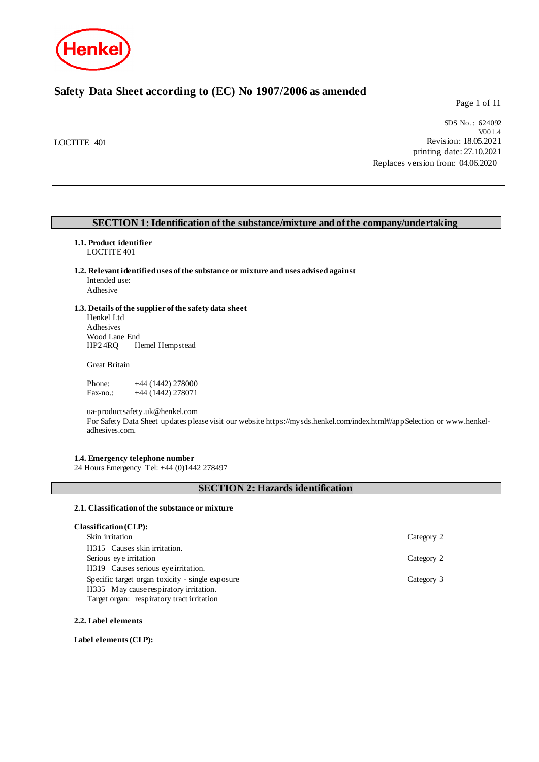

## **Safety Data Sheet according to (EC) No 1907/2006 as amended**

Page 1 of 11

LOCTITE 401

SDS No. : 624092 V001.4 Revision: 18.05.2021 printing date: 27.10.2021 Replaces version from: 04.06.2020

#### **SECTION 1: Identification of the substance/mixture and of the company/undertaking**

## **1.1. Product identifier**

LOCTITE 401

**1.2. Relevant identified uses of the substance or mixture and uses advised against** Intended use: Adhesive

## **1.3. Details of the supplier of the safety data sheet**

Henkel Ltd Adhesives Wood Lane End<br>HP2 4RO He Hemel Hempstead

Great Britain

Phone: +44 (1442) 278000<br>Fax-no.: +44 (1442) 278071  $+44$  (1442) 278071

ua-productsafety.uk@henkel.com

For Safety Data Sheet updates please visit our website https://mysds.henkel.com/index.html#/appSelection or www.henkeladhesives.com.

#### **1.4. Emergency telephone number**

24 Hours Emergency Tel: +44 (0)1442 278497

#### **SECTION 2: Hazards identification**

#### **2.1. Classification of the substance or mixture**

#### **Classification (CLP):**

| Skin irritation                                  | Category 2 |
|--------------------------------------------------|------------|
| H315 Causes skin irritation.                     |            |
| Serious eye irritation                           | Category 2 |
| H319 Causes serious eye irritation.              |            |
| Specific target organ toxicity - single exposure | Category 3 |
| H335 May cause respiratory irritation.           |            |
| Target organ: respiratory tract irritation       |            |

#### **2.2. Label elements**

**Label elements (CLP):**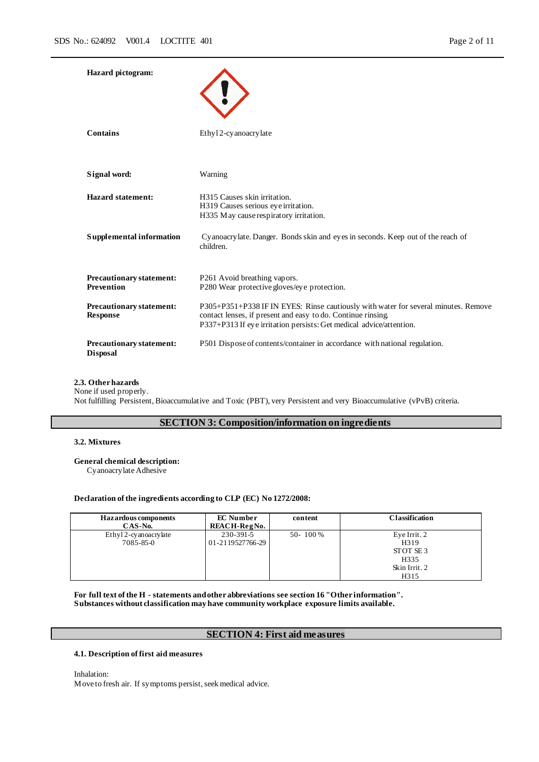| <b>Hazard</b> pictogram:                           |                                                                                                                                                                                                                           |
|----------------------------------------------------|---------------------------------------------------------------------------------------------------------------------------------------------------------------------------------------------------------------------------|
| Contains                                           | Ethyl 2-cy anoacry late                                                                                                                                                                                                   |
| Signal word:                                       | Warning                                                                                                                                                                                                                   |
| <b>Hazard statement:</b>                           | H315 Causes skin irritation.<br>H319 Causes serious eye irritation.<br>H335 May cause respiratory irritation.                                                                                                             |
| Supplemental information                           | Cyanoacry late. Danger. Bonds skin and eyes in seconds. Keep out of the reach of<br>children.                                                                                                                             |
| <b>Precautionary statement:</b><br>Prevention      | P261 Avoid breathing vapors.<br>P280 Wear protective gloves/eye protection.                                                                                                                                               |
| <b>Precautionary statement:</b><br><b>Response</b> | P305+P351+P338 IF IN EYES: Rinse cautiously with water for several minutes. Remove<br>contact lenses, if present and easy to do. Continue rinsing.<br>P337+P313 If eye irritation persists: Get medical advice/attention. |
| <b>Precautionary statement:</b><br><b>Disposal</b> | P501 Dispose of contents/container in accordance with national regulation.                                                                                                                                                |

#### **2.3. Other hazards**

None if used properly.

Not fulfilling Persistent, Bioaccumulative and Toxic (PBT), very Persistent and very Bioaccumulative (vPvB) criteria.

#### **SECTION 3: Composition/information on ingredients**

#### **3.2. Mixtures**

#### **General chemical description:**

Cyanoacrylate Adhesive

#### **Declaration of the ingredients according to CLP (EC) No 1272/2008:**

| <b>Hazardous components</b><br>CAS-No. | <b>EC</b> Number<br>REACH-RegNo. | content  | <b>Classification</b>                                             |
|----------------------------------------|----------------------------------|----------|-------------------------------------------------------------------|
| Ethyl 2-cyanoacrylate<br>7085-85-0     | 230-391-5<br>01-2119527766-29    | 50-100 % | Eye Irrit. 2<br>H319<br>STOT SE3<br>H335<br>Skin Irrit. 2<br>H315 |

**For full text of the H - statements and other abbreviations see section 16 "Other information". Substances without classification may have community workplace exposure limits available.**

## **SECTION 4: First aid measures**

#### **4.1. Description of first aid measures**

Inhalation:

Move to fresh air. If symptoms persist, seek medical advice.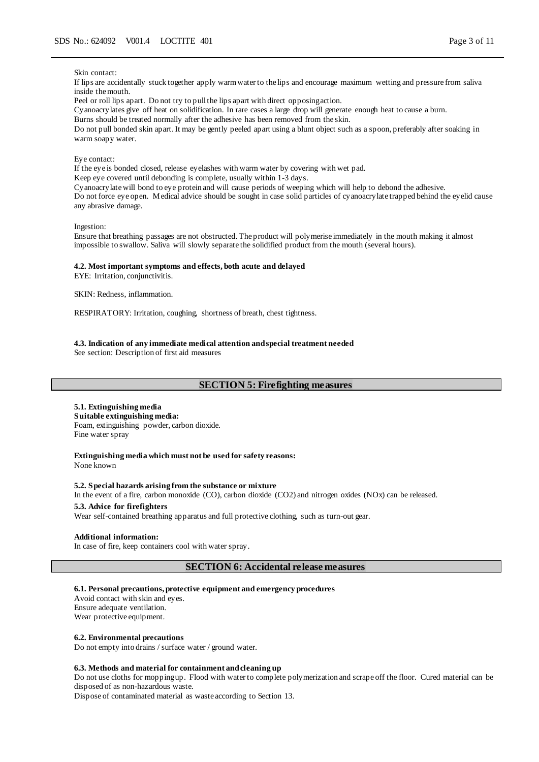#### Skin contact:

If lips are accidentally stuck together apply warm water to the lips and encourage maximum wetting and pressure from saliva inside the mouth.

Peel or roll lips apart. Do not try to pull the lips apart with direct opposing action.

Cyanoacrylates give off heat on solidification. In rare cases a large drop will generate enough heat to cause a burn.

Burns should be treated normally after the adhesive has been removed from the skin.

Do not pull bonded skin apart. It may be gently peeled apart using a blunt object such as a spoon, preferably after soaking in warm soapy water.

#### Eye contact:

If the eye is bonded closed, release eyelashes with warm water by covering with wet pad.

Keep eye covered until debonding is complete, usually within 1-3 days.

Cyanoacrylate will bond to eye protein and will cause periods of weeping which will help to debond the adhesive.

Do not force eye open. Medical advice should be sought in case solid particles of cyanoacrylate trapped behind the eyelid cause any abrasive damage.

Ingestion:

Ensure that breathing passages are not obstructed. The product will polymerise immediately in the mouth making it almost impossible to swallow. Saliva will slowly separate the solidified product from the mouth (several hours).

#### **4.2. Most important symptoms and effects, both acute and delayed**

EYE: Irritation, conjunctivitis.

SKIN: Redness, inflammation.

RESPIRATORY: Irritation, coughing, shortness of breath, chest tightness.

#### **4.3. Indication of any immediate medical attention and special treatment needed**

See section: Description of first aid measures

### **SECTION 5: Firefighting measures**

#### **5.1. Extinguishing media**

**Suitable extinguishing media:** Foam, extinguishing powder, carbon dioxide. Fine water spray

**Extinguishing media which must not be used for safety reasons:**

None known

#### **5.2. Special hazards arising from the substance or mixture**

In the event of a fire, carbon monoxide (CO), carbon dioxide (CO2) and nitrogen oxides (NOx) can be released.

## **5.3. Advice for firefighters**

Wear self-contained breathing apparatus and full protective clothing, such as turn-out gear.

#### **Additional information:**

In case of fire, keep containers cool with water spray.

#### **SECTION 6: Accidental release measures**

#### **6.1. Personal precautions, protective equipment and emergency procedures**

Avoid contact with skin and eyes. Ensure adequate ventilation. Wear protective equipment.

#### **6.2. Environmental precautions**

Do not empty into drains / surface water / ground water.

#### **6.3. Methods and material for containment and cleaning up**

Do not use cloths for mopping up. Flood with water to complete polymerization and scrape off the floor. Cured material can be disposed of as non-hazardous waste.

Dispose of contaminated material as waste according to Section 13.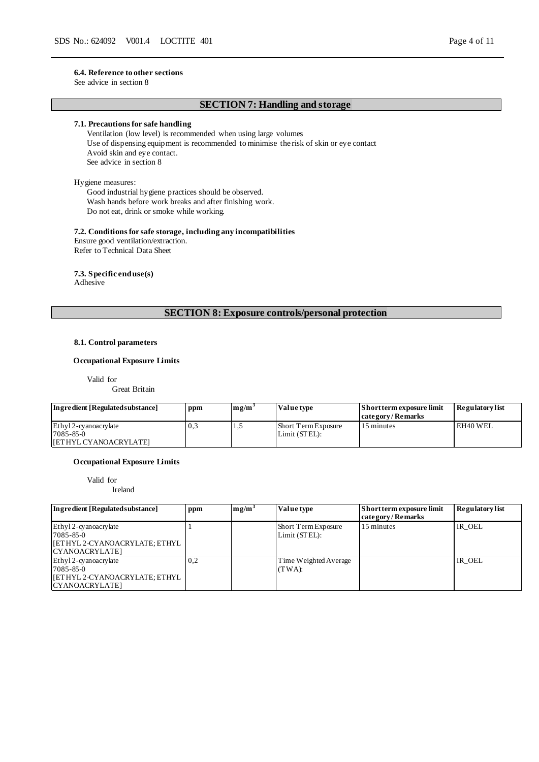See advice in section 8

## **SECTION 7: Handling and storage**

#### **7.1. Precautions for safe handling**

Ventilation (low level) is recommended when using large volumes Use of dispensing equipment is recommended to minimise the risk of skin or eye contact Avoid skin and eye contact. See advice in section 8

#### Hygiene measures:

Good industrial hygiene practices should be observed. Wash hands before work breaks and after finishing work. Do not eat, drink or smoke while working.

#### **7.2. Conditions for safe storage, including any incompatibilities**

Ensure good ventilation/extraction. Refer to Technical Data Sheet

**7.3. Specific end use(s)**

Adhesive

## **SECTION 8: Exposure controls/personal protection**

#### **8.1. Control parameters**

#### **Occupational Exposure Limits**

Valid for

Great Britain

| Ingredient [Regulated substance] | ppm | $\mathbf{m}$ <i>g</i> / $\mathbf{m}$ <sup>-</sup> | Value type          | Short term exposure limit | <b>Regulatory list</b> |
|----------------------------------|-----|---------------------------------------------------|---------------------|---------------------------|------------------------|
|                                  |     |                                                   |                     | category/Remarks          |                        |
| Ethyl 2-cyanoacrylate            | 0.3 |                                                   | Short Term Exposure | 15 minutes                | EH40 WEL               |
| 7085-85-0                        |     |                                                   | Limit (STEL):       |                           |                        |
| <b>IFETHYL CYANOACRYLATEI</b>    |     |                                                   |                     |                           |                        |

#### **Occupational Exposure Limits**

Valid for

Ireland

| Ingredient [Regulated substance]                                                                    | ppm | mg/m <sup>3</sup> | Value type                           | Short term exposure limit<br>category/Remarks | <b>Regulatory</b> list |
|-----------------------------------------------------------------------------------------------------|-----|-------------------|--------------------------------------|-----------------------------------------------|------------------------|
| Ethyl 2-cyanoacrylate<br>7085-85-0<br><b>IETHYL 2-CYANOACRYLATE; ETHYL</b><br>CYANOACRYLATE1        |     |                   | Short Term Exposure<br>Limit (STEL): | 15 minutes                                    | IR OEL                 |
| Ethyl 2-cyanoacrylate<br>$7085 - 85 - 0$<br> [ETHYL 2-CYANOACRYLATE; ETHYL<br><b>CYANOACRYLATE1</b> | 0,2 |                   | Time Weighted Average<br>$(TWA)$ :   |                                               | IR OEL                 |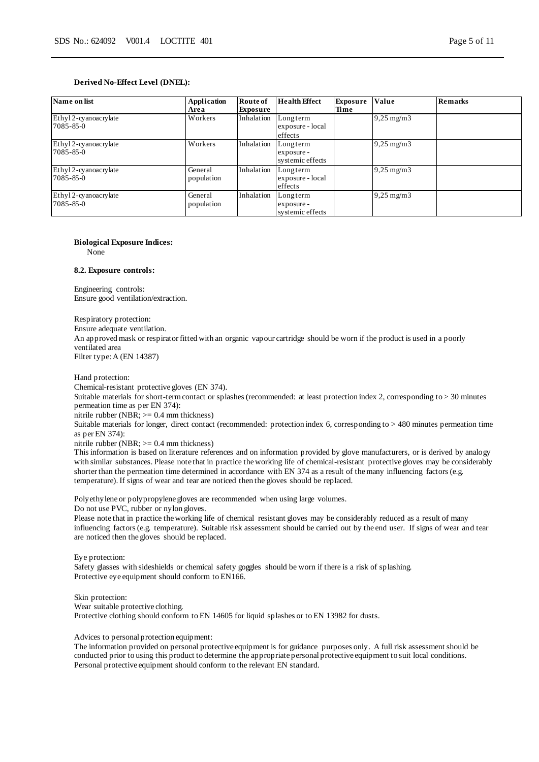| Name on list                       | Application<br>Area   | Route of<br>Exposure | <b>Health Effect</b>                       | Exposure<br>Time | Value                   | <b>Remarks</b> |
|------------------------------------|-----------------------|----------------------|--------------------------------------------|------------------|-------------------------|----------------|
| Ethyl 2-cyanoacrylate<br>7085-85-0 | Workers               | Inhalation           | Longterm<br>exposure - local<br>effects    |                  | $9,25 \,\mathrm{mg/m3}$ |                |
| Ethyl 2-cyanoacrylate<br>7085-85-0 | Workers               | Inhalation           | Longterm<br>exposure -<br>systemic effects |                  | $9,25 \,\mathrm{mg/m3}$ |                |
| Ethyl 2-cyanoacrylate<br>7085-85-0 | General<br>population | Inhalation           | Longterm<br>exposure - local<br>effects    |                  | $9,25 \text{ mg/m}$ 3   |                |
| Ethyl 2-cyanoacrylate<br>7085-85-0 | General<br>population | Inhalation           | Longterm<br>exposure -<br>systemic effects |                  | $9,25 \text{ mg/m}$ 3   |                |

#### **Biological Exposure Indices:**

None

#### **8.2. Exposure controls:**

Engineering controls: Ensure good ventilation/extraction.

Respiratory protection:

Ensure adequate ventilation.

An approved mask or respirator fitted with an organic vapour cartridge should be worn if the product is used in a poorly ventilated area Filter type: A (EN 14387)

Hand protection:

Chemical-resistant protective gloves (EN 374).

Suitable materials for short-term contact or splashes (recommended: at least protection index 2, corresponding to > 30 minutes permeation time as per EN 374):

nitrile rubber (NBR; >= 0.4 mm thickness)

Suitable materials for longer, direct contact (recommended: protection index 6, corresponding to > 480 minutes permeation time as per EN 374):

nitrile rubber (NBR; >= 0.4 mm thickness)

This information is based on literature references and on information provided by glove manufacturers, or is derived by analogy with similar substances. Please note that in practice the working life of chemical-resistant protective gloves may be considerably shorter than the permeation time determined in accordance with EN 374 as a result of the many influencing factors (e.g. temperature). If signs of wear and tear are noticed then the gloves should be replaced.

Polyethylene or polypropylene gloves are recommended when using large volumes.

Do not use PVC, rubber or nylon gloves.

Please note that in practice the working life of chemical resistant gloves may be considerably reduced as a result of many influencing factors (e.g. temperature). Suitable risk assessment should be carried out by the end user. If signs of wear and tear are noticed then the gloves should be replaced.

Eye protection:

Safety glasses with sideshields or chemical safety goggles should be worn if there is a risk of splashing. Protective eye equipment should conform to EN166.

Skin protection: Wear suitable protective clothing. Protective clothing should conform to EN 14605 for liquid splashes or to EN 13982 for dusts.

Advices to personal protection equipment:

The information provided on personal protective equipment is for guidance purposes only. A full risk assessment should be conducted prior to using this product to determine the appropriate personal protective equipment to suit local conditions. Personal protective equipment should conform to the relevant EN standard.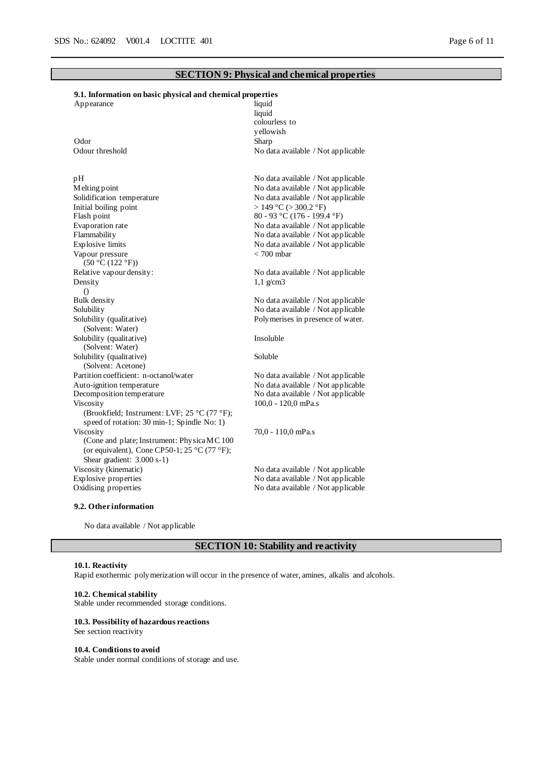#### **SECTION 9: Physical and chemical properties**

# **9.1. Information on basic physical and chemical properties**

| Appearance | liquid |
|------------|--------|
|            |        |

Odor Sharp

pH<br>
Mo data available / Not applicable<br>
Mo data available / Not applicable<br>
Mo data available / Not applicable Solidification temperature No data available / Not applicable<br>Initial boiling point  $> 149 \degree C (> 300.2 \degree F)$ Initial boiling point  $> 149 \degree C > 300.2 \degree F$ <br>Flash point  $80 - 93 \degree C (176 - 199.4)$ Evaporation rate  $\blacksquare$  No data available / Not applicable <br>Flammability No data available / Not applicable Flammability<br>Explosive limits<br>No data available / Not applicable<br>No data available / Not applicable Vapour pressure  $(50 \degree C (122 \degree F))$ <br>Relative vapour density: Density ()<br>Bulk density Solubility No data available / Not applicable Solubility (qualitative) (Solvent: Water) Solubility (qualitative) (Solvent: Water) Solubility (qualitative) (Solvent: Acetone) Partition coefficient: n-octanol/water No data available / Not applicable Auto-ignition temperature<br>
Decomposition temperature<br>
No data available / Not applicable<br>
No data available / Not applicable Viscosity (Brookfield; Instrument: LVF; 25 °C (77 °F); speed of rotation: 30 min-1; Spindle No: 1) Viscosity (Cone and plate; Instrument: Physica MC 100 (or equivalent), Cone CP50-1; 25 °C (77 °F); Shear gradient: 3.000 s-1) Viscosity (kinematic) No data available / Not applicable Explosive properties No data available / Not applicable Oxidising properties No data available / Not applicable

liquid colourless to yellowish Odour threshold No data available / Not applicable

No data available / Not applicable  $80 - 93$  °C (176 - 199.4 °F) No data available / Not applicable < 700 mbar

No data available / Not applicable 1,1 g/cm3

No data available / Not applicable Polymerises in presence of water.

Insoluble

Soluble

No data available / Not applicable 100,0 - 120,0 mPa.s

70,0 - 110,0 mPa.s

#### **9.2. Other information**

No data available / Not applicable

#### **SECTION 10: Stability and reactivity**

#### **10.1. Reactivity**

Rapid exothermic polymerization will occur in the presence of water, amines, alkalis and alcohols.

#### **10.2. Chemical stability**

Stable under recommended storage conditions.

#### **10.3. Possibility of hazardous reactions**

See section reactivity

#### **10.4. Conditions to avoid**

Stable under normal conditions of storage and use.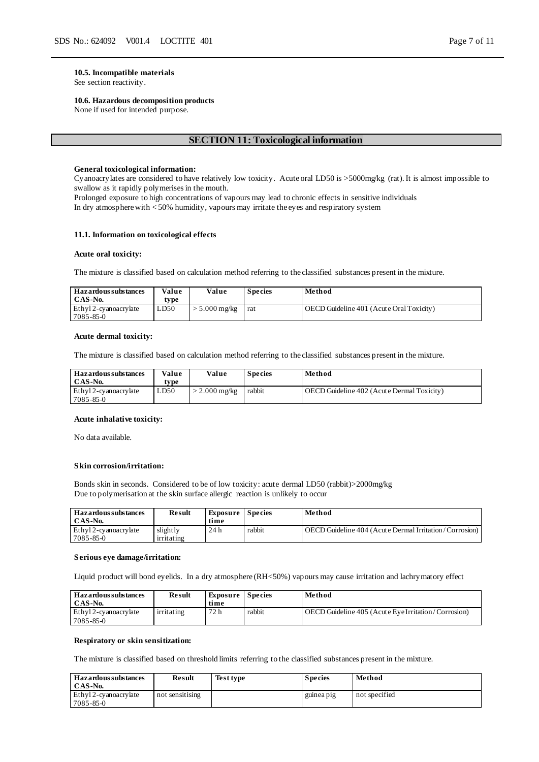#### **10.5. Incompatible materials**

See section reactivity.

#### **10.6. Hazardous decomposition products**

None if used for intended purpose.

#### **SECTION 11: Toxicological information**

#### **General toxicological information:**

Cyanoacrylates are considered to have relatively low toxicity. Acute oral LD50 is >5000mg/kg (rat). It is almost impossible to swallow as it rapidly polymerises in the mouth.

Prolonged exposure to high concentrations of vapours may lead to chronic effects in sensitive individuals In dry atmosphere with < 50% humidity, vapours may irritate the eyes and respiratory system

#### **11.1. Information on toxicological effects**

#### **Acute oral toxicity:**

The mixture is classified based on calculation method referring to the classified substances present in the mixture.

| <b>Hazardous substances</b><br>CAS-No. | Value<br>type | Value       | <b>Species</b> | Method                                   |
|----------------------------------------|---------------|-------------|----------------|------------------------------------------|
| Ethyl 2-cyanoacrylate<br>7085-85-0     | LD50          | 5.000 mg/kg | rat            | OECD Guideline 401 (Acute Oral Toxicity) |

#### **Acute dermal toxicity:**

The mixture is classified based on calculation method referring to the classified substances present in the mixture.

| <b>Hazardous substances</b><br>CAS-No. | Value<br>tvpe | Value           | <b>Species</b> | Method                                     |
|----------------------------------------|---------------|-----------------|----------------|--------------------------------------------|
| Ethyl 2-cyanoacrylate<br>7085-85-0     | LD50          | $>$ 2.000 mg/kg | rabbit         | OECD Guideline 402 (Acute Dermal Toxicity) |

#### **Acute inhalative toxicity:**

No data available.

#### **Skin corrosion/irritation:**

Bonds skin in seconds. Considered to be of low toxicity: acute dermal LD50 (rabbit)>2000mg/kg Due to polymerisation at the skin surface allergic reaction is unlikely to occur

| Haz ardous substances | Result     | Exposure Species |        | Method                                                 |
|-----------------------|------------|------------------|--------|--------------------------------------------------------|
| CAS-No.               |            | time             |        |                                                        |
| Ethyl 2-cyanoacrylate | slightly   | 24h              | rabbit | OECD Guideline 404 (Acute Dermal Irritation/Corrosion) |
| $7085 - 85 - 0$       | irritating |                  |        |                                                        |

#### **Serious eye damage/irritation:**

Liquid product will bond eyelids. In a dry atmosphere (RH<50%) vapours may cause irritation and lachrymatory effect

| <b>Hazardous substances</b><br>CAS-No.   | Result     | <b>Exposure</b> Species<br>time |        | Method                                              |
|------------------------------------------|------------|---------------------------------|--------|-----------------------------------------------------|
| Ethyl 2-cyanoacrylate<br>$7085 - 85 - 0$ | irritating | 72 h                            | rabbit | OECD Guideline 405 (Acute Eve Irritation/Corrosion) |

#### **Respiratory or skin sensitization:**

The mixture is classified based on threshold limits referring to the classified substances present in the mixture.

| <b>Hazardous substances</b><br>CAS-No.   | Result          | Test type | <b>Species</b> | Method        |
|------------------------------------------|-----------------|-----------|----------------|---------------|
| Ethyl 2-cyanoacrylate<br>$7085 - 85 - 0$ | not sensitising |           | guinea pig     | not specified |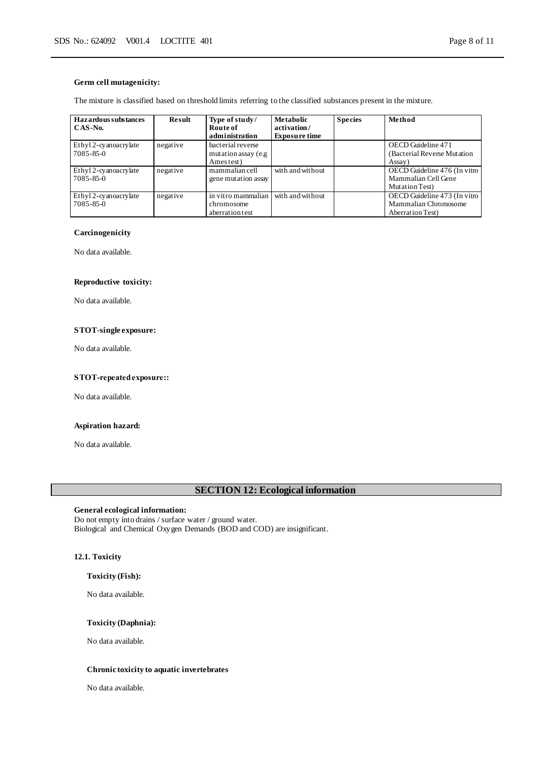#### **Germ cell mutagenicity:**

The mixture is classified based on threshold limits referring to the classified substances present in the mixture.

| <b>Hazardous substances</b><br>$CAS-N0$ . | <b>Result</b> | Type of study/<br>Route of<br>administration            | Metabolic<br>activation/<br><b>Exposure time</b> | <b>Species</b> | Method                                                                   |
|-------------------------------------------|---------------|---------------------------------------------------------|--------------------------------------------------|----------------|--------------------------------------------------------------------------|
| Ethyl 2-cyanoacrylate<br>$7085 - 85 - 0$  | negative      | bacterial reverse<br>mutation assay (e.g.<br>Ames test) |                                                  |                | OECD Guideline 471<br>(Bacterial Reverse Mutation)<br>Assay)             |
| Ethyl 2-cyanoacrylate<br>$7085 - 85 - 0$  | negative      | mammalian cell<br>gene mutation assay                   | with and without                                 |                | OECD Guideline 476 (In vitro<br>Mammalian Cell Gene<br>Mutation Test)    |
| Ethyl 2-cyanoacrylate<br>7085-85-0        | negative      | in vitro mammalian<br>chromosome<br>aberration test     | with and without                                 |                | OECD Guideline 473 (In vitro<br>Mammalian Chromosome<br>Aberration Test) |

#### **Carcinogenicity**

No data available.

#### **Reproductive toxicity:**

No data available.

#### **STOT-single exposure:**

No data available.

#### **STOT-repeated exposure::**

No data available.

#### **Aspiration hazard:**

No data available.

## **SECTION 12: Ecological information**

## **General ecological information:**

Do not empty into drains / surface water / ground water. Biological and Chemical Oxygen Demands (BOD and COD) are insignificant.

#### **12.1. Toxicity**

#### **Toxicity (Fish):**

No data available.

#### **Toxicity (Daphnia):**

No data available.

#### **Chronic toxicity to aquatic invertebrates**

No data available.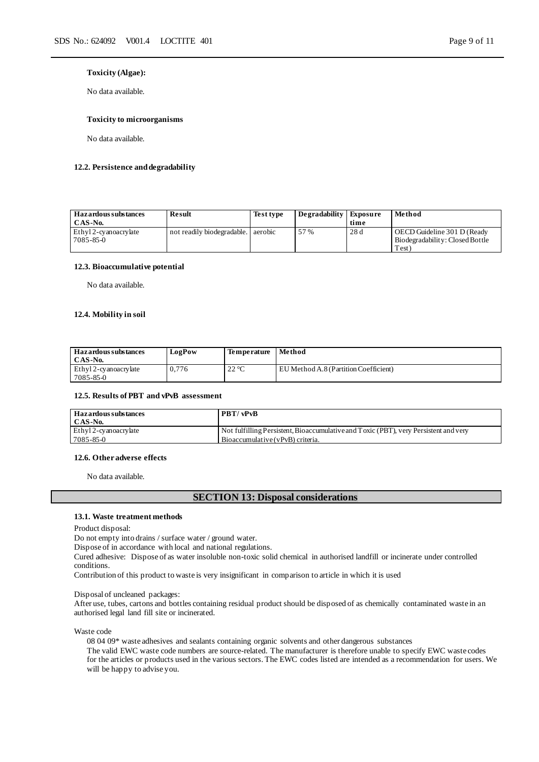#### **Toxicity (Algae):**

No data available.

#### **Toxicity to microorganisms**

No data available.

#### **12.2. Persistence and degradability**

| <b>Hazardous substances</b> | Result                             | Test type | Degradability Exposure |      | Method                          |
|-----------------------------|------------------------------------|-----------|------------------------|------|---------------------------------|
| CAS-No.                     |                                    |           |                        | time |                                 |
| Ethyl 2-cyanoacrylate       | not readily biodegradable. aerobic |           | 57 %                   | 28d  | OECD Guideline 301 D (Ready     |
| 7085-85-0                   |                                    |           |                        |      | Biodegradability: Closed Bottle |
|                             |                                    |           |                        |      | Test)                           |

#### **12.3. Bioaccumulative potential**

No data available.

#### **12.4. Mobility in soil**

| Haz ardous substances<br>CAS-No.   | LogPow | <b>Temperature</b>                      | Method                                |
|------------------------------------|--------|-----------------------------------------|---------------------------------------|
| Ethyl 2-cyanoacrylate<br>7085-85-0 | 0.776  | $.22 \, \mathrm{°C}$<br>22 <sub>0</sub> | EU Method A.8 (Partition Coefficient) |

#### **12.5. Results of PBT and vPvB assessment**

| Haz ardous substances | <b>PBT/vPvB</b>                                                                      |
|-----------------------|--------------------------------------------------------------------------------------|
| CAS-No.               |                                                                                      |
| Ethyl 2-cyanoacrylate | Not fulfilling Persistent, Bioaccumulative and Toxic (PBT), very Persistent and very |
| 7085-85-0             | Bioaccumulative (vPvB) criteria.                                                     |

#### **12.6. Other adverse effects**

No data available.

#### **SECTION 13: Disposal considerations**

#### **13.1. Waste treatment methods**

Product disposal:

Do not empty into drains / surface water / ground water.

Dispose of in accordance with local and national regulations.

Cured adhesive: Dispose of as water insoluble non-toxic solid chemical in authorised landfill or incinerate under controlled conditions.

Contribution of this product to waste is very insignificant in comparison to article in which it is used

#### Disposal of uncleaned packages:

After use, tubes, cartons and bottles containing residual product should be disposed of as chemically contaminated waste in an authorised legal land fill site or incinerated.

Waste code

08 04 09\* waste adhesives and sealants containing organic solvents and other dangerous substances The valid EWC waste code numbers are source-related. The manufacturer is therefore unable to specify EWC waste codes for the articles or products used in the various sectors. The EWC codes listed are intended as a recommendation for users. We will be happy to advise you.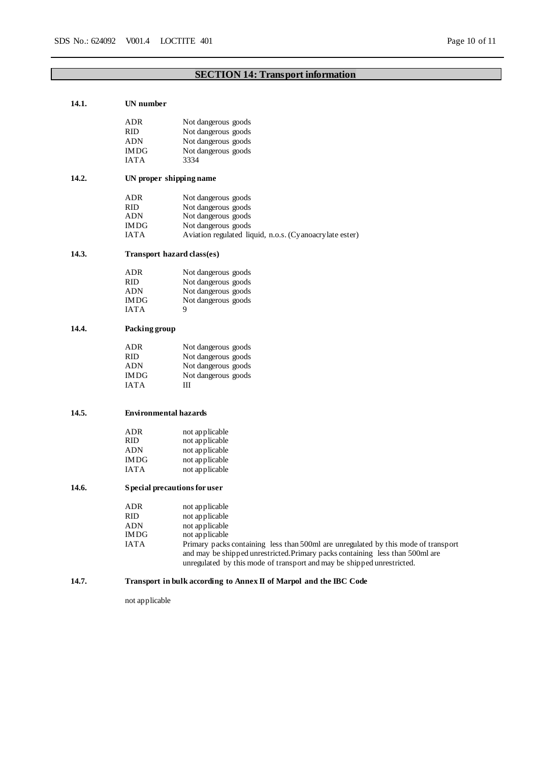## **SECTION 14: Transport information**

| 14.1. | UN number                                                          |                                                                                    |  |  |  |
|-------|--------------------------------------------------------------------|------------------------------------------------------------------------------------|--|--|--|
|       | ADR                                                                | Not dangerous goods                                                                |  |  |  |
|       | <b>RID</b>                                                         | Not dangerous goods                                                                |  |  |  |
|       | <b>ADN</b>                                                         | Not dangerous goods                                                                |  |  |  |
|       | <b>IMDG</b>                                                        | Not dangerous goods                                                                |  |  |  |
|       | <b>IATA</b>                                                        | 3334                                                                               |  |  |  |
| 14.2. |                                                                    | UN proper shipping name                                                            |  |  |  |
|       | ADR                                                                | Not dangerous goods                                                                |  |  |  |
|       | <b>RID</b>                                                         | Not dangerous goods                                                                |  |  |  |
|       | <b>ADN</b>                                                         | Not dangerous goods                                                                |  |  |  |
|       | <b>IMDG</b>                                                        | Not dangerous goods                                                                |  |  |  |
|       | <b>IATA</b>                                                        | Aviation regulated liquid, n.o.s. (Cy anoacry late ester)                          |  |  |  |
| 14.3. |                                                                    | <b>Transport hazard class(es)</b>                                                  |  |  |  |
|       | <b>ADR</b>                                                         | Not dangerous goods                                                                |  |  |  |
|       | RID                                                                | Not dangerous goods                                                                |  |  |  |
|       | <b>ADN</b>                                                         | Not dangerous goods                                                                |  |  |  |
|       | <b>IMDG</b>                                                        | Not dangerous goods                                                                |  |  |  |
|       | <b>IATA</b>                                                        | 9                                                                                  |  |  |  |
| 14.4. | Packing group                                                      |                                                                                    |  |  |  |
|       | ADR                                                                | Not dangerous goods                                                                |  |  |  |
|       | <b>RID</b>                                                         | Not dangerous goods                                                                |  |  |  |
|       | ADN                                                                | Not dangerous goods                                                                |  |  |  |
|       | <b>IMDG</b>                                                        | Not dangerous goods                                                                |  |  |  |
|       | <b>IATA</b>                                                        | Ш                                                                                  |  |  |  |
| 14.5. |                                                                    | <b>Environmental hazards</b>                                                       |  |  |  |
|       | <b>ADR</b>                                                         | not applicable                                                                     |  |  |  |
|       | RID.                                                               | not applicable                                                                     |  |  |  |
|       | <b>ADN</b>                                                         | not applicable                                                                     |  |  |  |
|       | <b>IMDG</b>                                                        | not applicable                                                                     |  |  |  |
|       | <b>IATA</b>                                                        | not applicable                                                                     |  |  |  |
| 14.6. | Special precautions for user                                       |                                                                                    |  |  |  |
|       | ADR                                                                | not applicable                                                                     |  |  |  |
|       | RID                                                                | not applicable                                                                     |  |  |  |
|       | ADN                                                                | not applicable                                                                     |  |  |  |
|       | <b>IMDG</b>                                                        | not applicable                                                                     |  |  |  |
|       | <b>IATA</b>                                                        | Primary packs containing less than 500ml are unregulated by this mode of transport |  |  |  |
|       |                                                                    | and may be shipped unrestricted. Primary packs containing less than 500ml are      |  |  |  |
|       |                                                                    | unregulated by this mode of transport and may be shipped unrestricted.             |  |  |  |
| 14.7. | Transport in bulk according to Annex II of Marpol and the IBC Code |                                                                                    |  |  |  |

not applicable